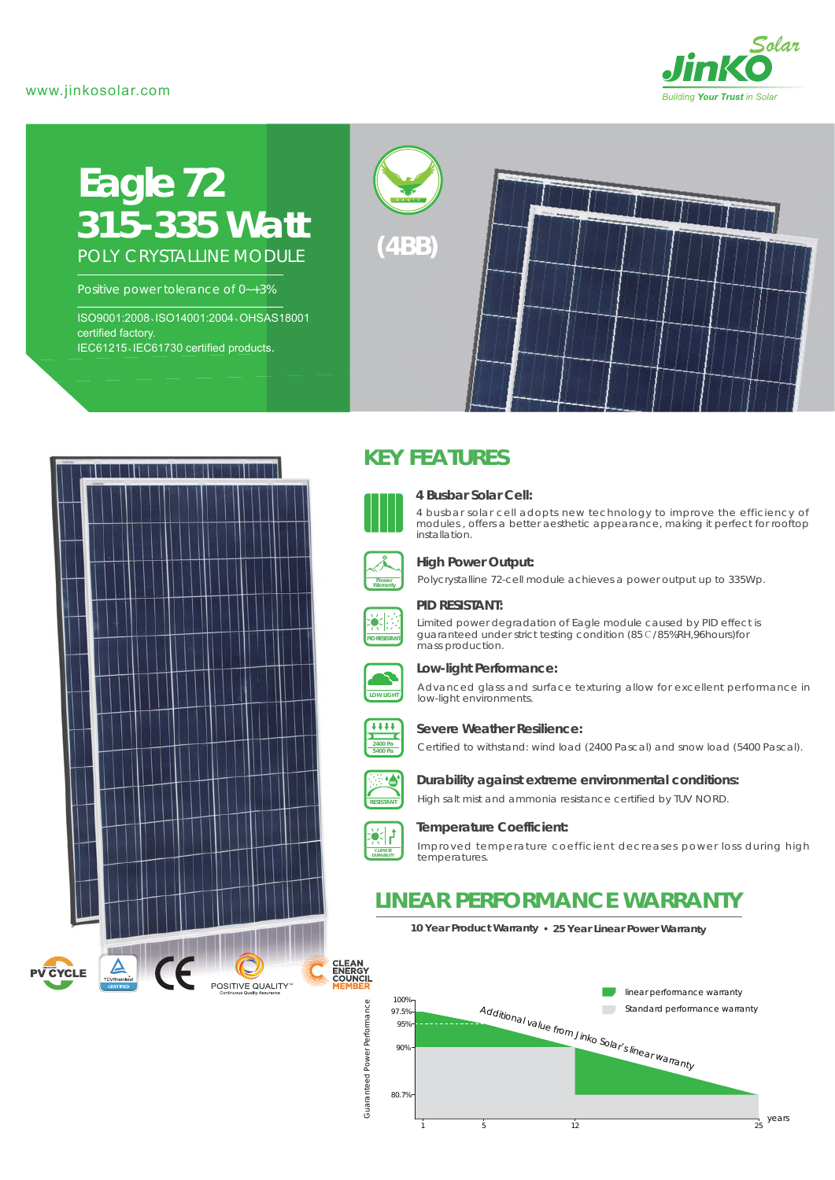### www.jinkosolar.com



# **Eagle 72** *315-335 Watt* POLY CRYSTALLINE MODULE

Positive power tolerance of 0~+3%

ISO9001:2008、ISO14001:2004、OHSAS18001 certified factory. IEC61215、IEC61730 certified products.





# **KEY FEATURES**



#### **4 Busbar Solar Cell:**

4 busbar solar cell adopts new technology to improve the efficiency of modules , offers a better aesthetic appearance, making it perfect for rooftop installation.



### **High Power Output:**

Polycrystalline 72-cell module achieves a power output up to 335Wp.



#### **PID RESISTANT:**

Limited power degradation of Eagle module caused by PID effect is guaranteed under strict testing condition (85℃/85%RH,96hours)for mass production.



### **Low-light Performance:**

Advanced glass and surface texturing allow for excellent performance in low-light environments.



## **Severe Weather Resilience:**

Certified to withstand: wind load (2400 Pascal) and snow load (5400 Pascal).



**RESISTANT**

#### **Durability against extreme environmental conditions:**

High salt mist and ammonia resistance certified by TUV NORD.



#### **Temperature Coefficient:**

Improved temperature coefficient decreases power loss during high temperatures.

# **LINEAR PERFORMANCE WARRANTY**

**10 Year Product Warranty 25 Year Linear Power Warranty**